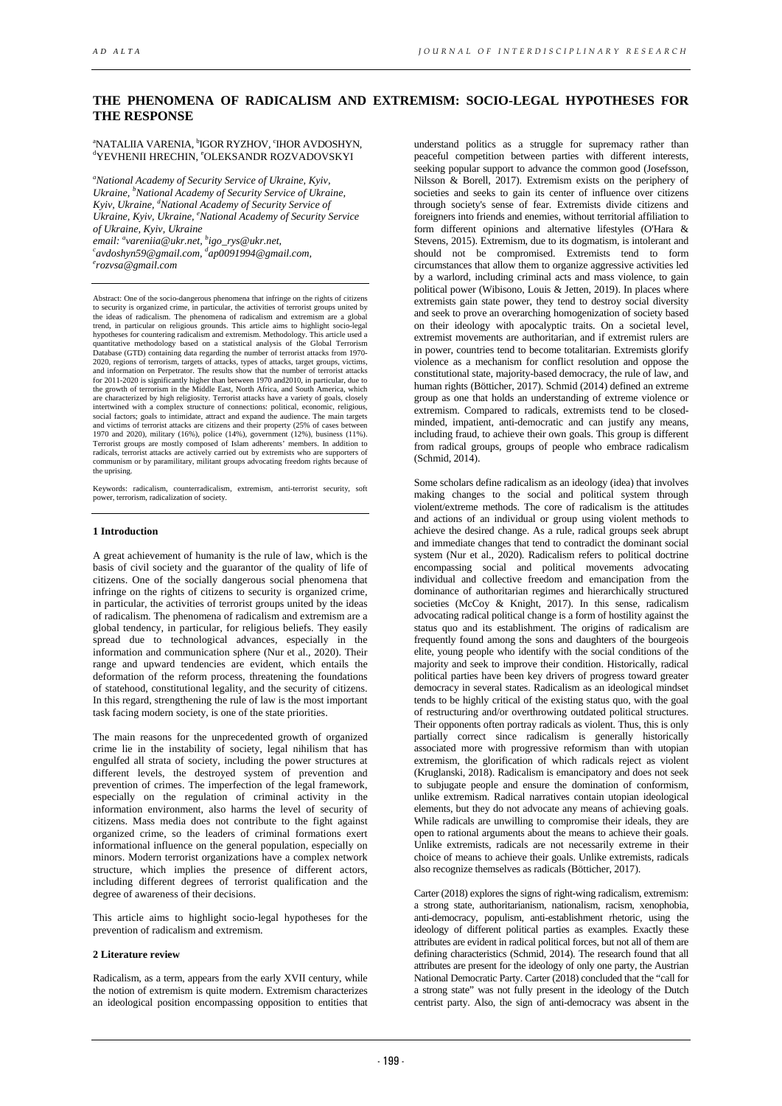# **THE PHENOMENA OF RADICALISM AND EXTREMISM: SOCIO-LEGAL HYPOTHESES FOR THE RESPONSE**

<sup>a</sup>NATALIIA VARENIA, <sup>b</sup>IGOR RYZHOV, ʿIHOR AVDOSHYN, <sup>d</sup>YEVHENII HRECHIN, °OLEKSANDR ROZVADOVSKYI

*a National Academy of Security Service of Ukraine, Kyiv, Ukraine, b National Academy of Security Service of Ukraine, Kyiv, Ukraine, d National Academy of Security Service of Ukraine, Kyiv, Ukraine, e National Academy of Security Service email: a [vareniia@ukr.net,](mailto:avareniia@ukr.net) b [igo\\_rys@ukr.net,](mailto:bigo_rys@ukr.net) c of Ukraine, Kyiv, Ukraine [avdoshyn59@gmail.com,](mailto:cavdoshyn59@gmail.com) d [ap0091994@gmail.com,](mailto:dap0091994@gmail.com) e rozvsa@gmail.com* 

Abstract: One of the socio-dangerous phenomena that infringe on the rights of citize to security is organized crime, in particular, the activities of terrorist groups united by<br>the ideas of radicalism. The phenomena of radicalism and extremism are a global<br>trend, in particular on religious grounds. This ar hypotheses for countering radicalism and extremism. Methodology. This article used a quantitative methodology based on a statistical analysis of the Global Terrorism Database (GTD) containing data regarding the number of t for 2011-2020 is significantly higher than between 1970 and 2010, in particular, due to the growth of terrorism in the Middle East, North Africa, and South America, which are characterized by high religiosity. Terrorist attacks have a variety of goals, closely intertwined with a complex structure of connections: political, economic, religious, social factors; goals to intimidate, attract and expand the audience. The main targets and victims of terrorist attacks are citizens and their property (25% of cases between 1970 and 2020), military (16%), police (14%), government (12%), business (11%).<br>Terrorist groups are mostly composed of Islam adherents' members. In addition to<br>radicals, terrorist attacks are actively carried out by extre the uprising.

Keywords: radicalism, counterradicalism, extremism, anti-terrorist security, soft power, terrorism, radicalization of society.

#### **1 Introduction**

A great achievement of humanity is the rule of law, which is the basis of civil society and the guarantor of the quality of life of citizens. One of the socially dangerous social phenomena that infringe on the rights of citizens to security is organized crime, in particular, the activities of terrorist groups united by the ideas of radicalism. The phenomena of radicalism and extremism are a global tendency, in particular, for religious beliefs. They easily spread due to technological advances, especially in the information and communication sphere (Nur et al., 2020). Their range and upward tendencies are evident, which entails the deformation of the reform process, threatening the foundations of statehood, constitutional legality, and the security of citizens. In this regard, strengthening the rule of law is the most important task facing modern society, is one of the state priorities.

The main reasons for the unprecedented growth of organized crime lie in the instability of society, legal nihilism that has engulfed all strata of society, including the power structures at different levels, the destroyed system of prevention and prevention of crimes. The imperfection of the legal framework, especially on the regulation of criminal activity in the information environment, also harms the level of security of citizens. Mass media does not contribute to the fight against organized crime, so the leaders of criminal formations exert informational influence on the general population, especially on minors. Modern terrorist organizations have a complex network structure, which implies the presence of different actors, including different degrees of terrorist qualification and the degree of awareness of their decisions.

This article aims to highlight socio-legal hypotheses for the prevention of radicalism and extremism.

#### **2 Literature review**

Radicalism, as a term, appears from the early XVII century, while the notion of extremism is quite modern. Extremism characterizes an ideological position encompassing opposition to entities that

understand politics as a struggle for supremacy rather than peaceful competition between parties with different interests, seeking popular support to advance the common good (Josefsson, Nilsson & Borell, 2017). Extremism exists on the periphery of societies and seeks to gain its center of influence over citizens through society's sense of fear. Extremists divide citizens and foreigners into friends and enemies, without territorial affiliation to form different opinions and alternative lifestyles (O'Hara & Stevens, 2015). Extremism, due to its dogmatism, is intolerant and should not be compromised. Extremists tend to form circumstances that allow them to organize aggressive activities led by a warlord, including criminal acts and mass violence, to gain political power (Wibisono, Louis & Jetten, 2019). In places where extremists gain state power, they tend to destroy social diversity and seek to prove an overarching homogenization of society based on their ideology with apocalyptic traits. On a societal level, extremist movements are authoritarian, and if extremist rulers are in power, countries tend to become totalitarian. Extremists glorify violence as a mechanism for conflict resolution and oppose the constitutional state, majority-based democracy, the rule of law, and human rights (Bötticher, 2017). Schmid (2014) defined an extreme group as one that holds an understanding of extreme violence or extremism. Compared to radicals, extremists tend to be closedminded, impatient, anti-democratic and can justify any means, including fraud, to achieve their own goals. This group is different from radical groups, groups of people who embrace radicalism  $(Schmid 2014)$ 

Some scholars define radicalism as an ideology (idea) that involves making changes to the social and political system through violent/extreme methods. The core of radicalism is the attitudes and actions of an individual or group using violent methods to achieve the desired change. As a rule, radical groups seek abrupt and immediate changes that tend to contradict the dominant social system (Nur et al., 2020). Radicalism refers to political doctrine encompassing social and political movements advocating individual and collective freedom and emancipation from the dominance of authoritarian regimes and hierarchically structured societies (McCoy & Knight, 2017). In this sense, radicalism advocating radical political change is a form of hostility against the status quo and its establishment. The origins of radicalism are frequently found among the sons and daughters of the bourgeois elite, young people who identify with the social conditions of the majority and seek to improve their condition. Historically, radical political parties have been key drivers of progress toward greater democracy in several states. Radicalism as an ideological mindset tends to be highly critical of the existing status quo, with the goal of restructuring and/or overthrowing outdated political structures. Their opponents often portray radicals as violent. Thus, this is only partially correct since radicalism is generally historically associated more with progressive reformism than with utopian extremism, the glorification of which radicals reject as violent (Kruglanski, 2018). Radicalism is emancipatory and does not seek to subjugate people and ensure the domination of conformism, unlike extremism. Radical narratives contain utopian ideological elements, but they do not advocate any means of achieving goals. While radicals are unwilling to compromise their ideals, they are open to rational arguments about the means to achieve their goals. Unlike extremists, radicals are not necessarily extreme in their choice of means to achieve their goals. Unlike extremists, radicals also recognize themselves as radicals (Bötticher, 2017).

Carter (2018) explores the signs of right-wing radicalism, extremism: a strong state, authoritarianism, nationalism, racism, xenophobia, anti-democracy, populism, anti-establishment rhetoric, using the ideology of different political parties as examples. Exactly these attributes are evident in radical political forces, but not all of them are defining characteristics (Schmid, 2014). The research found that all attributes are present for the ideology of only one party, the Austrian National Democratic Party. Carter (2018) concluded that the "call for a strong state" was not fully present in the ideology of the Dutch centrist party. Also, the sign of anti-democracy was absent in the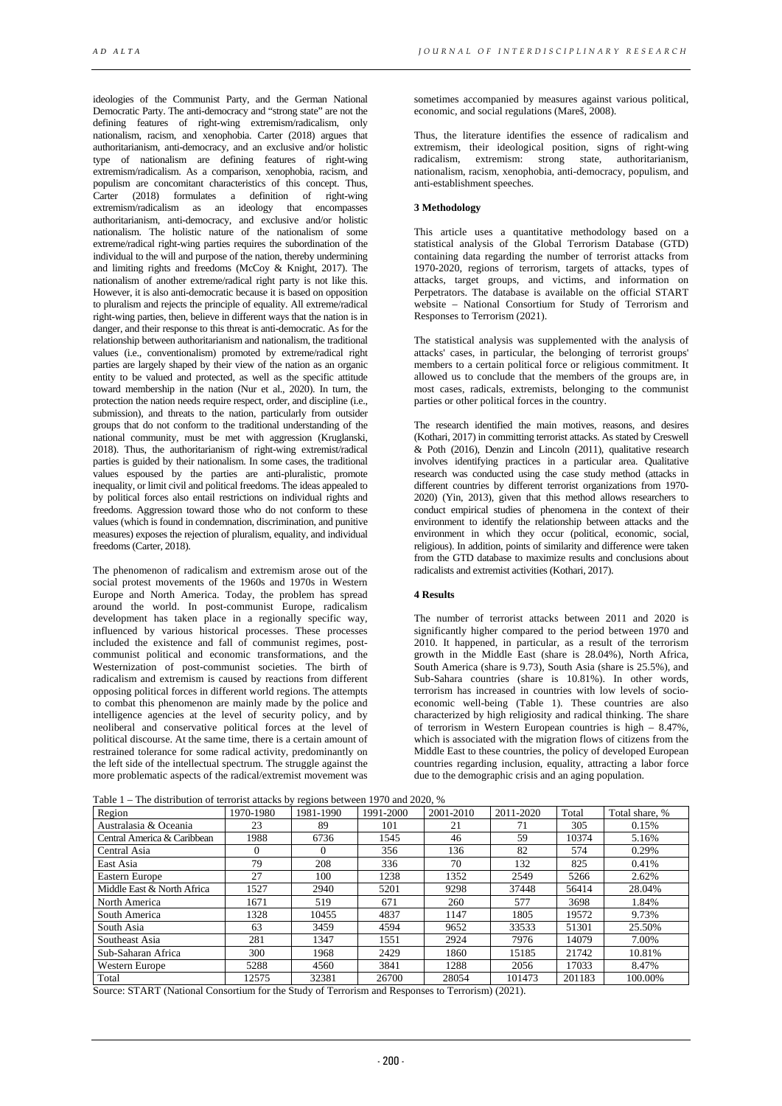ideologies of the Communist Party, and the German National Democratic Party. The anti-democracy and "strong state" are not the defining features of right-wing extremism/radicalism, only nationalism, racism, and xenophobia. Carter (2018) argues that authoritarianism, anti-democracy, and an exclusive and/or holistic type of nationalism are defining features of right-wing extremism/radicalism. As a comparison, xenophobia, racism, and populism are concomitant characteristics of this concept. Thus, Carter (2018) formulates a definition of right-wing extremism/radicalism as an ideology that encompasses authoritarianism, anti-democracy, and exclusive and/or holistic nationalism. The holistic nature of the nationalism of some extreme/radical right-wing parties requires the subordination of the individual to the will and purpose of the nation, thereby undermining and limiting rights and freedoms (McCoy & Knight, 2017). The nationalism of another extreme/radical right party is not like this. However, it is also anti-democratic because it is based on opposition to pluralism and rejects the principle of equality. All extreme/radical right-wing parties, then, believe in different ways that the nation is in danger, and their response to this threat is anti-democratic. As for the relationship between authoritarianism and nationalism, the traditional values (i.e., conventionalism) promoted by extreme/radical right parties are largely shaped by their view of the nation as an organic entity to be valued and protected, as well as the specific attitude toward membership in the nation (Nur et al., 2020). In turn, the protection the nation needs require respect, order, and discipline (i.e., submission), and threats to the nation, particularly from outsider groups that do not conform to the traditional understanding of the national community, must be met with aggression (Kruglanski, 2018). Thus, the authoritarianism of right-wing extremist/radical parties is guided by their nationalism. In some cases, the traditional values espoused by the parties are anti-pluralistic, promote inequality, or limit civil and political freedoms. The ideas appealed to by political forces also entail restrictions on individual rights and freedoms. Aggression toward those who do not conform to these values (which is found in condemnation, discrimination, and punitive measures) exposes the rejection of pluralism, equality, and individual freedoms (Carter, 2018).

The phenomenon of radicalism and extremism arose out of the social protest movements of the 1960s and 1970s in Western Europe and North America. Today, the problem has spread around the world. In post-communist Europe, radicalism development has taken place in a regionally specific way, influenced by various historical processes. These processes included the existence and fall of communist regimes, postcommunist political and economic transformations, and the Westernization of post-communist societies. The birth of radicalism and extremism is caused by reactions from different opposing political forces in different world regions. The attempts to combat this phenomenon are mainly made by the police and intelligence agencies at the level of security policy, and by neoliberal and conservative political forces at the level of political discourse. At the same time, there is a certain amount of restrained tolerance for some radical activity, predominantly on the left side of the intellectual spectrum. The struggle against the more problematic aspects of the radical/extremist movement was

sometimes accompanied by measures against various political, economic, and social regulations (Mareš, 2008).

Thus, the literature identifies the essence of radicalism and extremism, their ideological position, signs of right-wing radicalism, extremism: strong state, authoritarianism, nationalism, racism, xenophobia, anti-democracy, populism, and anti-establishment speeches.

### **3 Methodology**

This article uses a quantitative methodology based on a statistical analysis of the Global Terrorism Database (GTD) containing data regarding the number of terrorist attacks from 1970-2020, regions of terrorism, targets of attacks, types of attacks, target groups, and victims, and information on Perpetrators. The database is available on the official START website – National Consortium for Study of Terrorism and Responses to Terrorism (2021).

The statistical analysis was supplemented with the analysis of attacks' cases, in particular, the belonging of terrorist groups' members to a certain political force or religious commitment. It allowed us to conclude that the members of the groups are, in most cases, radicals, extremists, belonging to the communist parties or other political forces in the country.

The research identified the main motives, reasons, and desires (Kothari, 2017) in committing terrorist attacks. As stated by Creswell & Poth (2016), Denzin and Lincoln (2011), qualitative research involves identifying practices in a particular area. Qualitative research was conducted using the case study method (attacks in different countries by different terrorist organizations from 1970- 2020) (Yin, 2013), given that this method allows researchers to conduct empirical studies of phenomena in the context of their environment to identify the relationship between attacks and the environment in which they occur (political, economic, social, religious). In addition, points of similarity and difference were taken from the GTD database to maximize results and conclusions about radicalists and extremist activities (Kothari, 2017).

## **4 Results**

The number of terrorist attacks between 2011 and 2020 is significantly higher compared to the period between 1970 and 2010. It happened, in particular, as a result of the terrorism growth in the Middle East (share is 28.04%), North Africa, South America (share is 9.73), South Asia (share is 25.5%), and Sub-Sahara countries (share is 10.81%). In other words, terrorism has increased in countries with low levels of socioeconomic well-being (Table 1). These countries are also characterized by high religiosity and radical thinking. The share of terrorism in Western European countries is high – 8.47%, which is associated with the migration flows of citizens from the Middle East to these countries, the policy of developed European countries regarding inclusion, equality, attracting a labor force due to the demographic crisis and an aging population.

| Fable $1 - 1$ lie distribution of terrorist attacks by regions between 1970 and 2020, 70 |           |           |           |           |           |        |                |
|------------------------------------------------------------------------------------------|-----------|-----------|-----------|-----------|-----------|--------|----------------|
| Region                                                                                   | 1970-1980 | 1981-1990 | 1991-2000 | 2001-2010 | 2011-2020 | Total  | Total share, % |
| Australasia & Oceania                                                                    | 23        | 89        | 101       | 21        | 71        | 305    | 0.15%          |
| Central America & Caribbean                                                              | 1988      | 6736      | 1545      | 46        | 59        | 10374  | 5.16%          |
| Central Asia                                                                             | $\Omega$  | $\Omega$  | 356       | 136       | 82        | 574    | 0.29%          |
| East Asia                                                                                | 79        | 208       | 336       | 70        | 132       | 825    | 0.41%          |
| <b>Eastern Europe</b>                                                                    | 27        | 100       | 1238      | 1352      | 2549      | 5266   | 2.62%          |
| Middle East & North Africa                                                               | 1527      | 2940      | 5201      | 9298      | 37448     | 56414  | 28.04%         |
| North America                                                                            | 1671      | 519       | 671       | 260       | 577       | 3698   | 1.84%          |
| South America                                                                            | 1328      | 10455     | 4837      | 1147      | 1805      | 19572  | 9.73%          |
| South Asia                                                                               | 63        | 3459      | 4594      | 9652      | 33533     | 51301  | 25.50%         |
| Southeast Asia                                                                           | 281       | 1347      | 1551      | 2924      | 7976      | 14079  | 7.00%          |
| Sub-Saharan Africa                                                                       | 300       | 1968      | 2429      | 1860      | 15185     | 21742  | 10.81%         |
| <b>Western Europe</b>                                                                    | 5288      | 4560      | 3841      | 1288      | 2056      | 17033  | 8.47%          |
| Total                                                                                    | 12575     | 32381     | 26700     | 28054     | 101473    | 201183 | 100.00%        |

Table  $1 -$  The distribution of terrorist attacks by regions between 1970 and 2020,  $\alpha$ 

Source: START (National Consortium for the Study of Terrorism and Responses to Terrorism) (2021).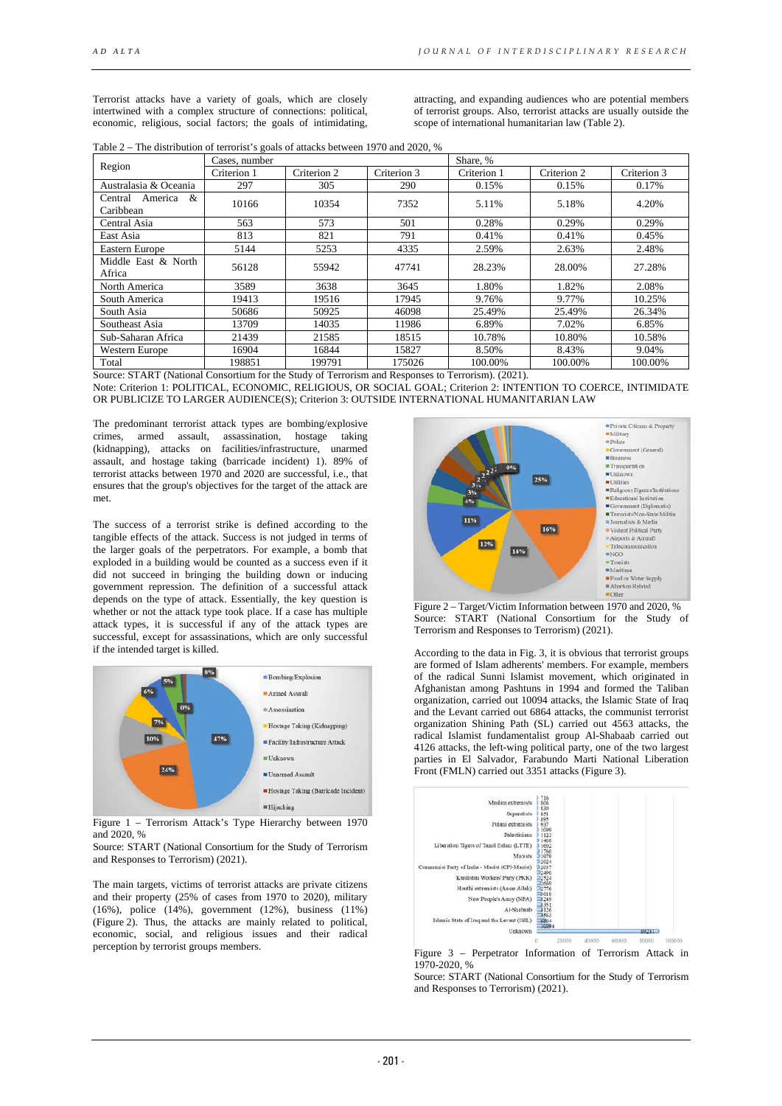Terrorist attacks have a variety of goals, which are closely intertwined with a complex structure of connections: political, economic, religious, social factors; the goals of intimidating,

attracting, and expanding audiences who are potential members of terrorist groups. Also, terrorist attacks are usually outside the scope of international humanitarian law (Table 2).

Table 2 – The distribution of terrorist's goals of attacks between 1970 and 2020, %

| Region                                                                                                                                                                                                                                                                                                                            | Cases, number |             |             | Share, %    |             |             |  |
|-----------------------------------------------------------------------------------------------------------------------------------------------------------------------------------------------------------------------------------------------------------------------------------------------------------------------------------|---------------|-------------|-------------|-------------|-------------|-------------|--|
|                                                                                                                                                                                                                                                                                                                                   | Criterion 1   | Criterion 2 | Criterion 3 | Criterion 1 | Criterion 2 | Criterion 3 |  |
| Australasia & Oceania                                                                                                                                                                                                                                                                                                             | 297           | 305         | 290         | 0.15%       | 0.15%       | 0.17%       |  |
| Central America &<br>Caribbean                                                                                                                                                                                                                                                                                                    | 10166         | 10354       | 7352        | 5.11%       | 5.18%       | 4.20%       |  |
| Central Asia                                                                                                                                                                                                                                                                                                                      | 563           | 573         | 501         | 0.28%       | 0.29%       | 0.29%       |  |
| East Asia                                                                                                                                                                                                                                                                                                                         | 813           | 821         | 791         | 0.41%       | 0.41%       | 0.45%       |  |
| Eastern Europe                                                                                                                                                                                                                                                                                                                    | 5144          | 5253        | 4335        | 2.59%       | 2.63%       | 2.48%       |  |
| Middle East & North<br>Africa                                                                                                                                                                                                                                                                                                     | 56128         | 55942       | 47741       | 28.23%      | 28.00%      | 27.28%      |  |
| North America                                                                                                                                                                                                                                                                                                                     | 3589          | 3638        | 3645        | 1.80%       | 1.82%       | 2.08%       |  |
| South America                                                                                                                                                                                                                                                                                                                     | 19413         | 19516       | 17945       | 9.76%       | 9.77%       | 10.25%      |  |
| South Asia                                                                                                                                                                                                                                                                                                                        | 50686         | 50925       | 46098       | 25.49%      | 25.49%      | 26.34%      |  |
| Southeast Asia                                                                                                                                                                                                                                                                                                                    | 13709         | 14035       | 11986       | 6.89%       | 7.02%       | 6.85%       |  |
| Sub-Saharan Africa                                                                                                                                                                                                                                                                                                                | 21439         | 21585       | 18515       | 10.78%      | 10.80%      | 10.58%      |  |
| Western Europe                                                                                                                                                                                                                                                                                                                    | 16904         | 16844       | 15827       | 8.50%       | 8.43%       | 9.04%       |  |
| Total<br>$\mathcal{C}$ $\mathcal{C}$ $\mathbf{P}$ $\mathbf{A}$ $\mathbf{D}$ $\mathbf{P}$ $\mathbf{A}$ $\mathbf{A}$ $\mathbf{A}$ $\mathbf{A}$ $\mathbf{A}$ $\mathbf{A}$ $\mathbf{A}$ $\mathbf{A}$ $\mathbf{A}$ $\mathbf{A}$ $\mathbf{A}$ $\mathbf{A}$ $\mathbf{A}$ $\mathbf{A}$ $\mathbf{A}$ $\mathbf{A}$ $\mathbf{A}$ $\mathbf{A$ | 198851        | 199791      | 175026      | 100.00%     | 100.00%     | 100.00%     |  |

Source: START (National Consortium for the Study of Terrorism and Responses to Terrorism). (2021). Note: Criterion 1: POLITICAL, ECONOMIC, RELIGIOUS, OR SOCIAL GOAL; Criterion 2: INTENTION TO COERCE, INTIMIDATE OR PUBLICIZE TO LARGER AUDIENCE(S); Criterion 3: OUTSIDE INTERNATIONAL HUMANITARIAN LAW

The predominant terrorist attack types are bombing/explosive crimes, armed assault, assassination, hostage taking (kidnapping), attacks on facilities/infrastructure, unarmed assault, and hostage taking (barricade incident) 1). 89% of terrorist attacks between 1970 and 2020 are successful, i.e., that ensures that the group's objectives for the target of the attack are met.

The success of a terrorist strike is defined according to the tangible effects of the attack. Success is not judged in terms of the larger goals of the perpetrators. For example, a bomb that exploded in a building would be counted as a success even if it did not succeed in bringing the building down or inducing government repression. The definition of a successful attack depends on the type of attack. Essentially, the key question is whether or not the attack type took place. If a case has multiple attack types, it is successful if any of the attack types are successful, except for assassinations, which are only successful if the intended target is killed.



Figure 1 – Terrorism Attack's Type Hierarchy between 1970 and 2020, %

Source: START (National Consortium for the Study of Terrorism and Responses to Terrorism) (2021).

The main targets, victims of terrorist attacks are private citizens and their property (25% of cases from 1970 to 2020), military (16%), police (14%), government (12%), business (11%) (Figure 2). Thus, the attacks are mainly related to political, economic, social, and religious issues and their radical perception by terrorist groups members.



Figure 2 – Target/Victim Information between 1970 and 2020, % Source: START (National Consortium for the Study of Terrorism and Responses to Terrorism) (2021).

According to the data in Fig. 3, it is obvious that terrorist groups are formed of Islam adherents' members. For example, members of the radical Sunni Islamist movement, which originated in Afghanistan among Pashtuns in 1994 and formed the Taliban organization, carried out 10094 attacks, the Islamic State of Iraq and the Levant carried out 6864 attacks, the communist terrorist organization Shining Path (SL) carried out 4563 attacks, the radical Islamist fundamentalist group Al-Shabaab carried out 4126 attacks, the left-wing political party, one of the two largest parties in El Salvador, Farabundo Marti National Liberation Front (FMLN) carried out 3351 attacks (Figure 3).



Figure 3 – Perpetrator Information of Terrorism Attack in 1970-2020, %

Source: START (National Consortium for the Study of Terrorism and Responses to Terrorism) (2021).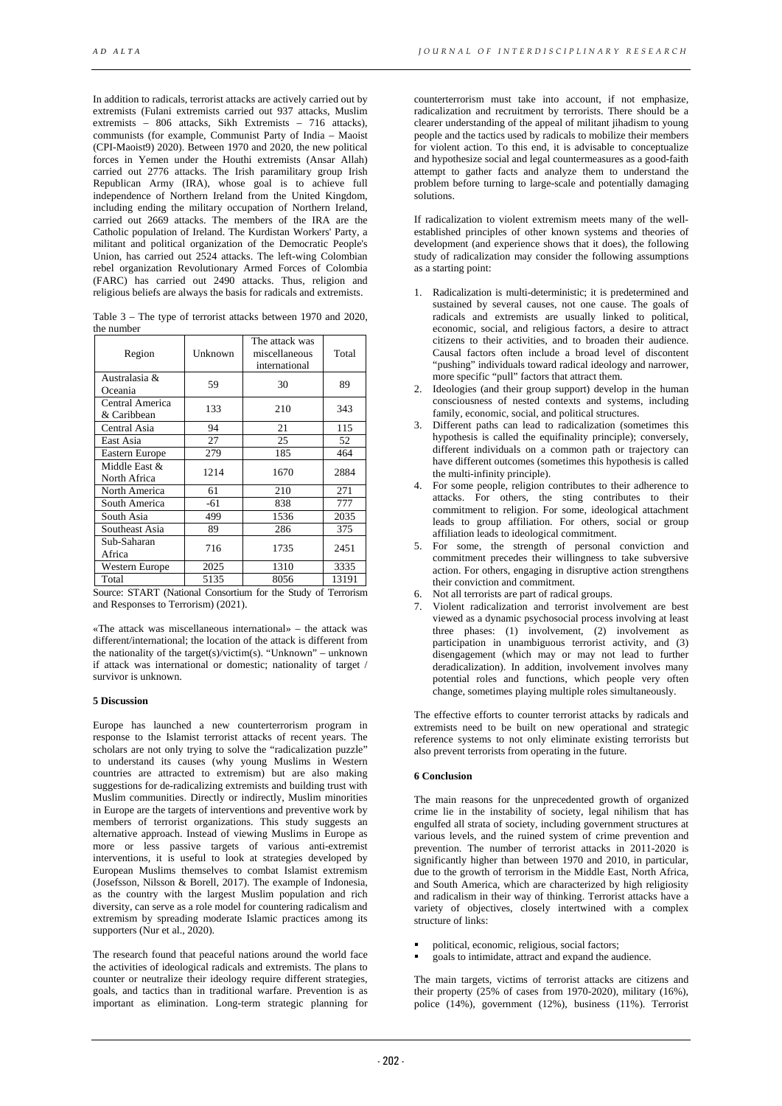In addition to radicals, terrorist attacks are actively carried out by extremists (Fulani extremists carried out 937 attacks, Muslim extremists – 806 attacks, Sikh Extremists – 716 attacks), communists (for example, Communist Party of India – Maoist (CPI-Maoist9) 2020). Between 1970 and 2020, the new political forces in Yemen under the Houthi extremists (Ansar Allah) carried out 2776 attacks. The Irish paramilitary group Irish Republican Army (IRA), whose goal is to achieve full independence of Northern Ireland from the United Kingdom, including ending the military occupation of Northern Ireland, carried out 2669 attacks. The members of the IRA are the Catholic population of Ireland. The Kurdistan Workers' Party, a militant and political organization of the Democratic People's Union, has carried out 2524 attacks. The left-wing Colombian rebel organization Revolutionary Armed Forces of Colombia (FARC) has carried out 2490 attacks. Thus, religion and religious beliefs are always the basis for radicals and extremists.

Table 3 – The type of terrorist attacks between 1970 and 2020, the number

| Region                         | Unknown | The attack was<br>miscellaneous<br>international | Total |
|--------------------------------|---------|--------------------------------------------------|-------|
| Australasia &<br>Oceania       | 59      | 30                                               | 89    |
| Central America<br>& Caribbean | 133     | 210                                              | 343   |
| Central Asia                   | 94      | 21                                               | 115   |
| East Asia                      | 27      | 25                                               | 52    |
| Eastern Europe                 | 279     | 185                                              | 464   |
| Middle East &<br>North Africa  | 1214    | 1670                                             | 2884  |
| North America                  | 61      | 210                                              | 271   |
| South America                  | -61     | 838                                              | 777   |
| South Asia                     | 499     | 1536                                             | 2035  |
| Southeast Asia                 | 89      | 286                                              | 375   |
| Sub-Saharan<br>Africa          | 716     | 1735                                             | 2451  |
| Western Europe                 | 2025    | 1310                                             | 3335  |
| Total                          | 5135    | 8056                                             | 13191 |

Source: START (National Consortium for the Study of Terrorism and Responses to Terrorism) (2021).

«The attack was miscellaneous international» – the attack was different/international; the location of the attack is different from the nationality of the target(s)/victim(s). "Unknown" – unknown if attack was international or domestic; nationality of target / survivor is unknown.

## **5 Discussion**

Europe has launched a new counterterrorism program in response to the Islamist terrorist attacks of recent years. The scholars are not only trying to solve the "radicalization puzzle" to understand its causes (why young Muslims in Western countries are attracted to extremism) but are also making suggestions for de-radicalizing extremists and building trust with Muslim communities. Directly or indirectly, Muslim minorities in Europe are the targets of interventions and preventive work by members of terrorist organizations. This study suggests an alternative approach. Instead of viewing Muslims in Europe as more or less passive targets of various anti-extremist interventions, it is useful to look at strategies developed by European Muslims themselves to combat Islamist extremism (Josefsson, Nilsson & Borell, 2017). The example of Indonesia, as the country with the largest Muslim population and rich diversity, can serve as a role model for countering radicalism and extremism by spreading moderate Islamic practices among its supporters (Nur et al., 2020).

The research found that peaceful nations around the world face the activities of ideological radicals and extremists. The plans to counter or neutralize their ideology require different strategies, goals, and tactics than in traditional warfare. Prevention is as important as elimination. Long-term strategic planning for

counterterrorism must take into account, if not emphasize, radicalization and recruitment by terrorists. There should be a clearer understanding of the appeal of militant jihadism to young people and the tactics used by radicals to mobilize their members for violent action. To this end, it is advisable to conceptualize and hypothesize social and legal countermeasures as a good-faith attempt to gather facts and analyze them to understand the problem before turning to large-scale and potentially damaging solutions.

If radicalization to violent extremism meets many of the wellestablished principles of other known systems and theories of development (and experience shows that it does), the following study of radicalization may consider the following assumptions as a starting point:

- 1. Radicalization is multi-deterministic; it is predetermined and sustained by several causes, not one cause. The goals of radicals and extremists are usually linked to political, economic, social, and religious factors, a desire to attract citizens to their activities, and to broaden their audience. Causal factors often include a broad level of discontent "pushing" individuals toward radical ideology and narrower, more specific "pull" factors that attract them.
- 2. Ideologies (and their group support) develop in the human consciousness of nested contexts and systems, including family, economic, social, and political structures.
- 3. Different paths can lead to radicalization (sometimes this hypothesis is called the equifinality principle); conversely, different individuals on a common path or trajectory can have different outcomes (sometimes this hypothesis is called the multi-infinity principle).
- 4. For some people, religion contributes to their adherence to attacks. For others, the sting contributes to their commitment to religion. For some, ideological attachment leads to group affiliation. For others, social or group affiliation leads to ideological commitment.
- 5. For some, the strength of personal conviction and commitment precedes their willingness to take subversive action. For others, engaging in disruptive action strengthens their conviction and commitment.
- 6. Not all terrorists are part of radical groups.
- 7. Violent radicalization and terrorist involvement are best viewed as a dynamic psychosocial process involving at least three phases: (1) involvement, (2) involvement as participation in unambiguous terrorist activity, and (3) disengagement (which may or may not lead to further deradicalization). In addition, involvement involves many potential roles and functions, which people very often change, sometimes playing multiple roles simultaneously.

The effective efforts to counter terrorist attacks by radicals and extremists need to be built on new operational and strategic reference systems to not only eliminate existing terrorists but also prevent terrorists from operating in the future.

### **6 Conclusion**

The main reasons for the unprecedented growth of organized crime lie in the instability of society, legal nihilism that has engulfed all strata of society, including government structures at various levels, and the ruined system of crime prevention and prevention. The number of terrorist attacks in 2011-2020 is significantly higher than between 1970 and 2010, in particular, due to the growth of terrorism in the Middle East, North Africa, and South America, which are characterized by high religiosity and radicalism in their way of thinking. Terrorist attacks have a variety of objectives, closely intertwined with a complex structure of links:

- political, economic, religious, social factors;
- goals to intimidate, attract and expand the audience.

The main targets, victims of terrorist attacks are citizens and their property  $(25\% \text{ of cases from } 1970{\text -}2020)$ , military  $(16\%),$ police (14%), government (12%), business (11%). Terrorist